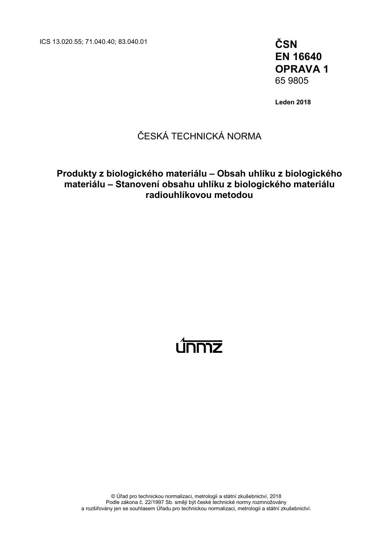ICS 13.020.55; 71.040.40; 83.040.01 **ČSN**

**EN 16640 OPRAVA 1** 65 9805

**Leden 2018**

## ČESKÁ TECHNICKÁ NORMA

### **Produkty z biologického materiálu – Obsah uhlíku z biologického materiálu – Stanovení obsahu uhlíku z biologického materiálu radiouhlíkovou metodou**

# <u>únmz</u>

© Úřad pro technickou normalizaci, metrologii a státní zkušebnictví, 2018 Podle zákona č. 22/1997 Sb. smějí být české technické normy rozmnožovány a rozšiřovány jen se souhlasem Úřadu pro technickou normalizaci, metrologii a státní zkušebnictví.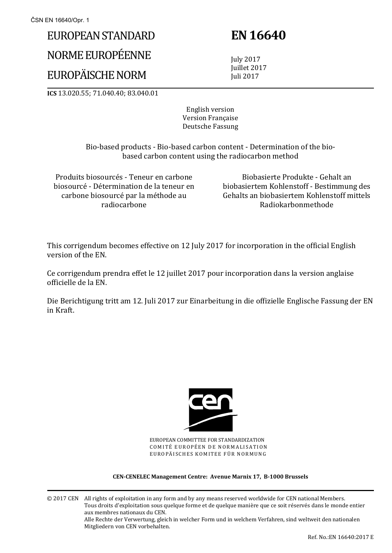# EUROPEAN STANDARD

# NORME EUROPÉENNE

# EUROPÄISCHE NORM

 **EN 16640** 

 July 2017 Juillet 2017 Juli 2017

**ICS** 13.020.55; 71.040.40; 83.040.01

English version Version Française Deutsche Fassung

 Bio-based products - Bio-based carbon content - Determination of the biobased carbon content using the radiocarbon method

Produits biosourcés - Teneur en carbone biosourcé - Détermination de la teneur en carbone biosourcé par la méthode au radiocarbone

 Biobasierte Produkte - Gehalt an biobasiertem Kohlenstoff - Bestimmung des Gehalts an biobasiertem Kohlenstoff mittels Radiokarbonmethode

This corrigendum becomes effective on 12 July 2017 for incorporation in the official English version of the EN.

Ce corrigendum prendra effet le 12 juillet 2017 pour incorporation dans la version anglaise officielle de la EN.

Die Berichtigung tritt am 12. Juli 2017 zur Einarbeitung in die offizielle Englische Fassung der EN in Kraft.



EUROPEAN COMMITTEE FOR STANDARDIZATION COMITÉ EUROPÉEN DE NORMALISATION EUROPÄISCHES KOMITEE FÜR NORMUNG

#### **CEN-CENELEC Management Centre: Avenue Marnix 17, B-1000 Brussels**

© 2017 CEN All rights of exploitation in any form and by any means reserved worldwide for CEN national Members. Tous droits d'exploitation sous quelque forme et de quelque manière que ce soit réservés dans le monde entier aux membres nationaux du CEN. Alle Rechte der Verwertung, gleich in welcher Form und in welchem Verfahren, sind weltweit den nationalen Mitgliedern von CEN vorbehalten.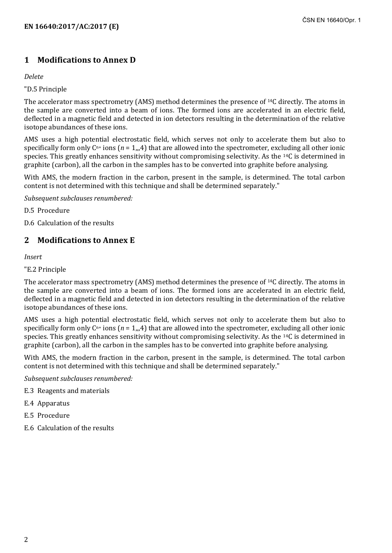### **1 Modifications to Annex D**

#### *Delete*

#### "D.5 Principle

The accelerator mass spectrometry (AMS) method determines the presence of 14C directly. The atoms in the sample are converted into a beam of ions. The formed ions are accelerated in an electric field, deflected in a magnetic field and detected in ion detectors resulting in the determination of the relative isotope abundances of these ions.

AMS uses a high potential electrostatic field, which serves not only to accelerate them but also to specifically form only  $C<sup>n+</sup>$  ions ( $n = 1,4$ ) that are allowed into the spectrometer, excluding all other ionic species. This greatly enhances sensitivity without compromising selectivity. As the 14C is determined in graphite (carbon), all the carbon in the samples has to be converted into graphite before analysing.

With AMS, the modern fraction in the carbon, present in the sample, is determined. The total carbon content is not determined with this technique and shall be determined separately."

*Subsequent subclauses renumbered:*

D.5 Procedure

D.6 Calculation of the results

### **2 Modifications to Annex E**

*Insert*

"E.2 Principle

The accelerator mass spectrometry (AMS) method determines the presence of 14C directly. The atoms in the sample are converted into a beam of ions. The formed ions are accelerated in an electric field, deflected in a magnetic field and detected in ion detectors resulting in the determination of the relative isotope abundances of these ions.

AMS uses a high potential electrostatic field, which serves not only to accelerate them but also to specifically form only  $C^{n+}$  ions ( $n = 1,4$ ) that are allowed into the spectrometer, excluding all other ionic species. This greatly enhances sensitivity without compromising selectivity. As the 14C is determined in graphite (carbon), all the carbon in the samples has to be converted into graphite before analysing.

With AMS, the modern fraction in the carbon, present in the sample, is determined. The total carbon content is not determined with this technique and shall be determined separately."

*Subsequent subclauses renumbered:*

- E.3 Reagents and materials
- E.4 Apparatus
- E.5 Procedure
- E.6 Calculation of the results